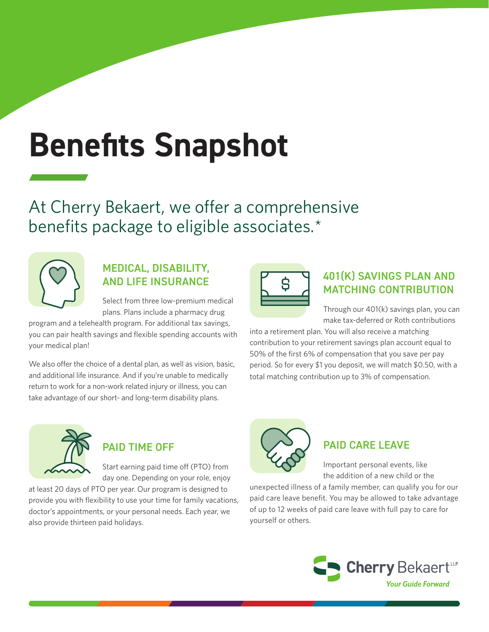# **Benefits Snapshot**

At Cherry Bekaert, we offer a comprehensive benefits package to eligible associates.\*



# MEDICAL, DISABILITY, AND LIFE INSURANCE

Select from three low-premium medical plans. Plans include a pharmacy drug

program and a telehealth program. For additional tax savings, you can pair health savings and flexible spending accounts with your medical plan!

We also offer the choice of a dental plan, as well as vision, basic, and additional life insurance. And if you're unable to medically return to work for a non-work related injury or illness, you can take advantage of our short- and long-term disability plans.



## 401(K) SAVINGS PLAN AND MATCHING CONTRIBUTION

Through our 401(k) savings plan, you can make tax-deferred or Roth contributions

into a retirement plan. You will also receive a matching contribution to your retirement savings plan account equal to 50% of the first 6% of compensation that you save per pay period. So for every \$1 you deposit, we will match \$0.50, with a total matching contribution up to 3% of compensation.



# PAID TIME OFF

Start earning paid time off (PTO) from day one. Depending on your role, enjoy

at least 20 days of PTO per year. Our program is designed to provide you with flexibility to use your time for family vacations, doctor's appointments, or your personal needs. Each year, we also provide thirteen paid holidays.



# PAID CARE LEAVE

Important personal events, like the addition of a new child or the

unexpected illness of a family member, can qualify you for our paid care leave benefit. You may be allowed to take advantage of up to 12 weeks of paid care leave with full pay to care for yourself or others.